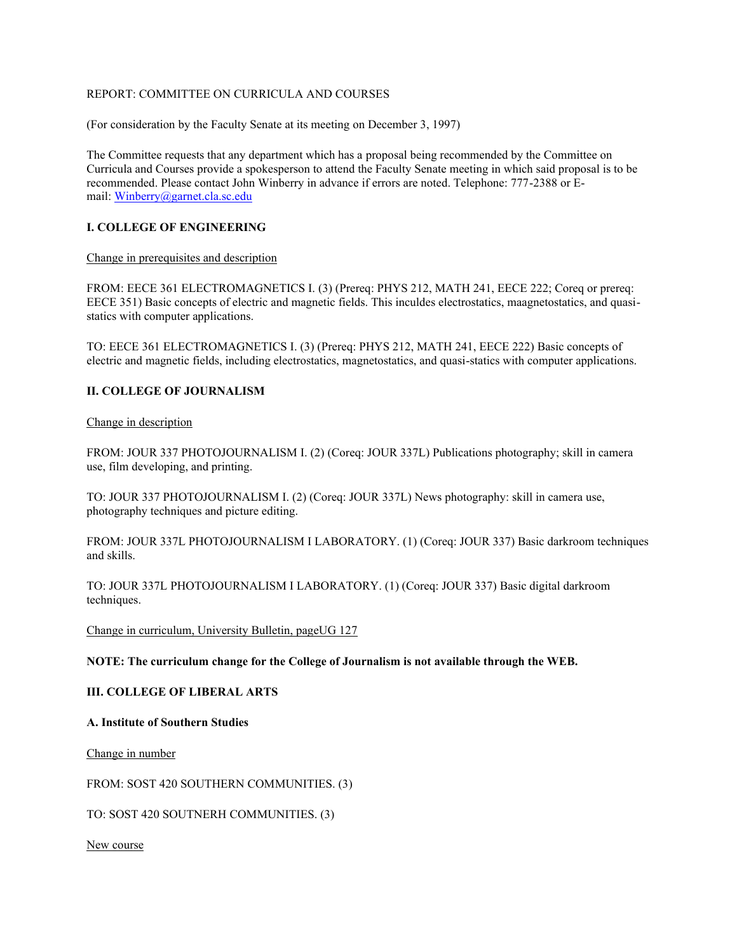### REPORT: COMMITTEE ON CURRICULA AND COURSES

(For consideration by the Faculty Senate at its meeting on December 3, 1997)

The Committee requests that any department which has a proposal being recommended by the Committee on Curricula and Courses provide a spokesperson to attend the Faculty Senate meeting in which said proposal is to be recommended. Please contact John Winberry in advance if errors are noted. Telephone: 777-2388 or Email: [Winberry@garnet.cla.sc.edu](mailto:Winberry@garnet.cla.sc.edu)

### **I. COLLEGE OF ENGINEERING**

#### Change in prerequisites and description

FROM: EECE 361 ELECTROMAGNETICS I. (3) (Prereq: PHYS 212, MATH 241, EECE 222; Coreq or prereq: EECE 351) Basic concepts of electric and magnetic fields. This inculdes electrostatics, maagnetostatics, and quasistatics with computer applications.

TO: EECE 361 ELECTROMAGNETICS I. (3) (Prereq: PHYS 212, MATH 241, EECE 222) Basic concepts of electric and magnetic fields, including electrostatics, magnetostatics, and quasi-statics with computer applications.

### **II. COLLEGE OF JOURNALISM**

#### Change in description

FROM: JOUR 337 PHOTOJOURNALISM I. (2) (Coreq: JOUR 337L) Publications photography; skill in camera use, film developing, and printing.

TO: JOUR 337 PHOTOJOURNALISM I. (2) (Coreq: JOUR 337L) News photography: skill in camera use, photography techniques and picture editing.

FROM: JOUR 337L PHOTOJOURNALISM I LABORATORY. (1) (Coreq: JOUR 337) Basic darkroom techniques and skills.

TO: JOUR 337L PHOTOJOURNALISM I LABORATORY. (1) (Coreq: JOUR 337) Basic digital darkroom techniques.

Change in curriculum, University Bulletin, pageUG 127

### **NOTE: The curriculum change for the College of Journalism is not available through the WEB.**

### **III. COLLEGE OF LIBERAL ARTS**

#### **A. Institute of Southern Studies**

Change in number

FROM: SOST 420 SOUTHERN COMMUNITIES. (3)

TO: SOST 420 SOUTNERH COMMUNITIES. (3)

New course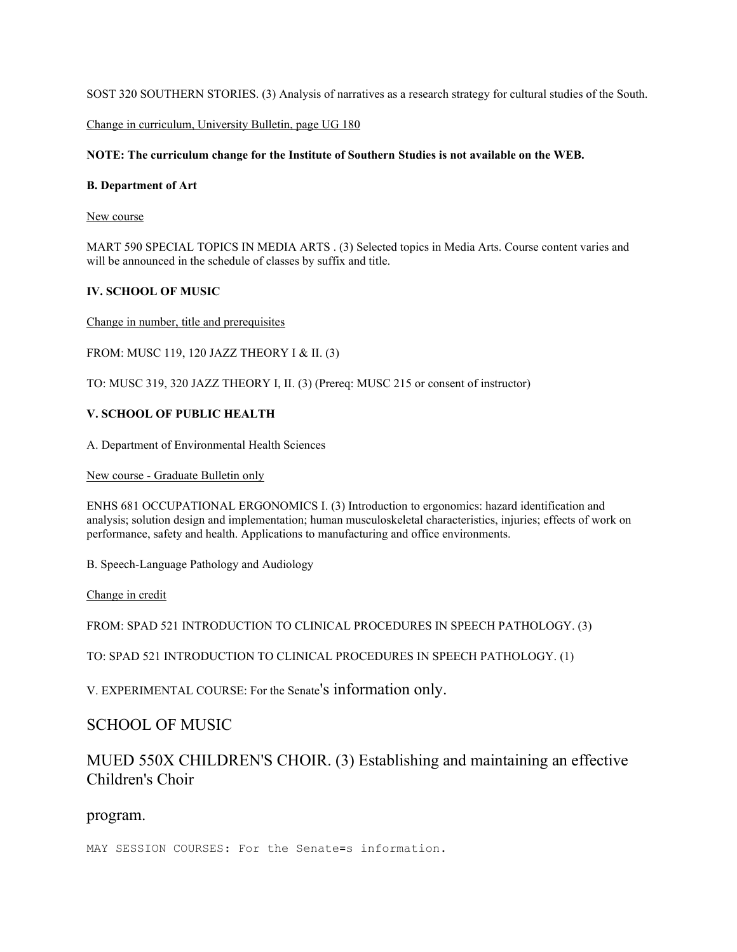SOST 320 SOUTHERN STORIES. (3) Analysis of narratives as a research strategy for cultural studies of the South.

Change in curriculum, University Bulletin, page UG 180

# **NOTE: The curriculum change for the Institute of Southern Studies is not available on the WEB.**

### **B. Department of Art**

New course

MART 590 SPECIAL TOPICS IN MEDIA ARTS . (3) Selected topics in Media Arts. Course content varies and will be announced in the schedule of classes by suffix and title.

# **IV. SCHOOL OF MUSIC**

Change in number, title and prerequisites

FROM: MUSC 119, 120 JAZZ THEORY I & II. (3)

TO: MUSC 319, 320 JAZZ THEORY I, II. (3) (Prereq: MUSC 215 or consent of instructor)

# **V. SCHOOL OF PUBLIC HEALTH**

A. Department of Environmental Health Sciences

New course - Graduate Bulletin only

ENHS 681 OCCUPATIONAL ERGONOMICS I. (3) Introduction to ergonomics: hazard identification and analysis; solution design and implementation; human musculoskeletal characteristics, injuries; effects of work on performance, safety and health. Applications to manufacturing and office environments.

B. Speech-Language Pathology and Audiology

Change in credit

FROM: SPAD 521 INTRODUCTION TO CLINICAL PROCEDURES IN SPEECH PATHOLOGY. (3)

TO: SPAD 521 INTRODUCTION TO CLINICAL PROCEDURES IN SPEECH PATHOLOGY. (1)

V. EXPERIMENTAL COURSE: For the Senate's information only.

# SCHOOL OF MUSIC

# MUED 550X CHILDREN'S CHOIR. (3) Establishing and maintaining an effective Children's Choir

# program.

MAY SESSION COURSES: For the Senate=s information.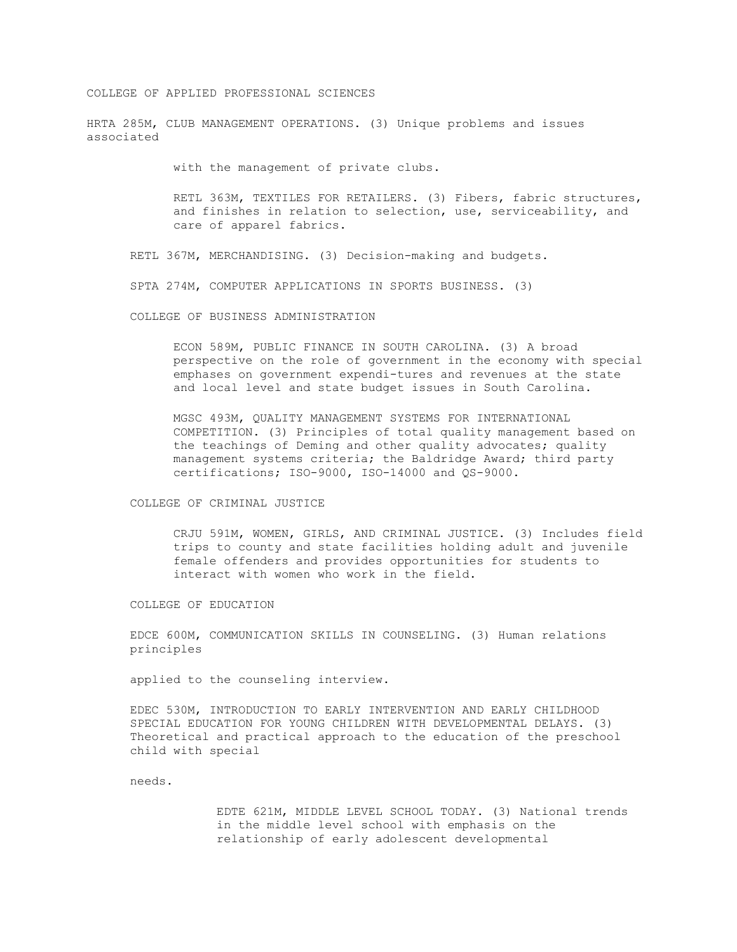#### COLLEGE OF APPLIED PROFESSIONAL SCIENCES

HRTA 285M, CLUB MANAGEMENT OPERATIONS. (3) Unique problems and issues associated

with the management of private clubs.

RETL 363M, TEXTILES FOR RETAILERS. (3) Fibers, fabric structures, and finishes in relation to selection, use, serviceability, and care of apparel fabrics.

RETL 367M, MERCHANDISING. (3) Decision-making and budgets.

SPTA 274M, COMPUTER APPLICATIONS IN SPORTS BUSINESS. (3)

COLLEGE OF BUSINESS ADMINISTRATION

ECON 589M, PUBLIC FINANCE IN SOUTH CAROLINA. (3) A broad perspective on the role of government in the economy with special emphases on government expendi-tures and revenues at the state and local level and state budget issues in South Carolina.

MGSC 493M, QUALITY MANAGEMENT SYSTEMS FOR INTERNATIONAL COMPETITION. (3) Principles of total quality management based on the teachings of Deming and other quality advocates; quality management systems criteria; the Baldridge Award; third party certifications; ISO-9000, ISO-14000 and QS-9000.

COLLEGE OF CRIMINAL JUSTICE

CRJU 591M, WOMEN, GIRLS, AND CRIMINAL JUSTICE. (3) Includes field trips to county and state facilities holding adult and juvenile female offenders and provides opportunities for students to interact with women who work in the field.

COLLEGE OF EDUCATION

EDCE 600M, COMMUNICATION SKILLS IN COUNSELING. (3) Human relations principles

applied to the counseling interview.

EDEC 530M, INTRODUCTION TO EARLY INTERVENTION AND EARLY CHILDHOOD SPECIAL EDUCATION FOR YOUNG CHILDREN WITH DEVELOPMENTAL DELAYS. (3) Theoretical and practical approach to the education of the preschool child with special

needs.

EDTE 621M, MIDDLE LEVEL SCHOOL TODAY. (3) National trends in the middle level school with emphasis on the relationship of early adolescent developmental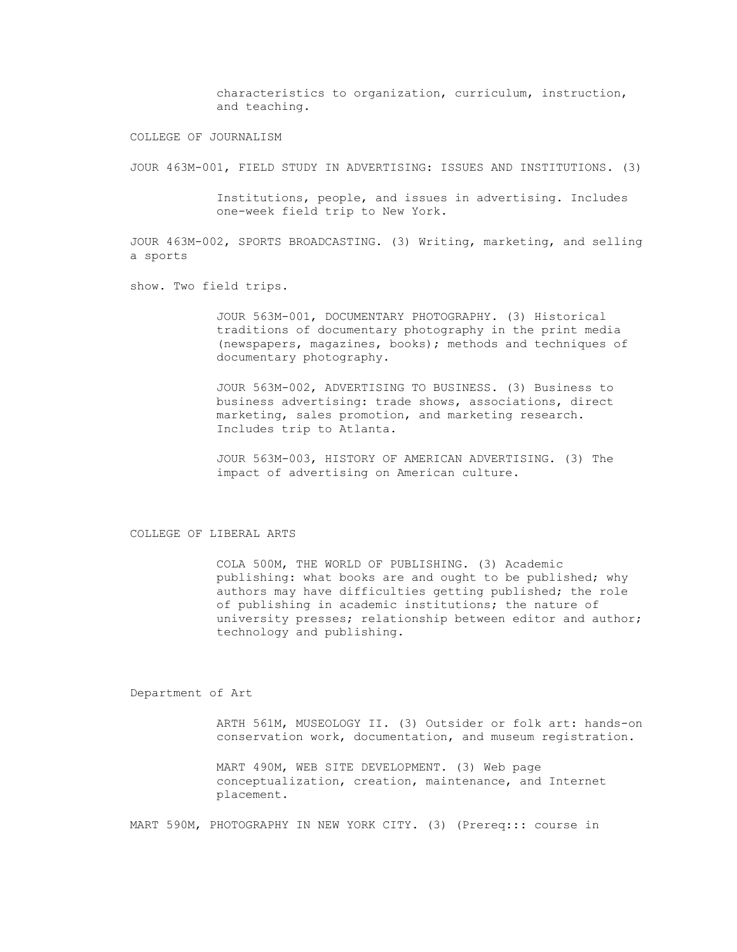characteristics to organization, curriculum, instruction, and teaching.

COLLEGE OF JOURNALISM

JOUR 463M-001, FIELD STUDY IN ADVERTISING: ISSUES AND INSTITUTIONS. (3)

Institutions, people, and issues in advertising. Includes one-week field trip to New York.

JOUR 463M-002, SPORTS BROADCASTING. (3) Writing, marketing, and selling a sports

show. Two field trips.

JOUR 563M-001, DOCUMENTARY PHOTOGRAPHY. (3) Historical traditions of documentary photography in the print media (newspapers, magazines, books); methods and techniques of documentary photography.

JOUR 563M-002, ADVERTISING TO BUSINESS. (3) Business to business advertising: trade shows, associations, direct marketing, sales promotion, and marketing research. Includes trip to Atlanta.

JOUR 563M-003, HISTORY OF AMERICAN ADVERTISING. (3) The impact of advertising on American culture.

COLLEGE OF LIBERAL ARTS

COLA 500M, THE WORLD OF PUBLISHING. (3) Academic publishing: what books are and ought to be published; why authors may have difficulties getting published; the role of publishing in academic institutions; the nature of university presses; relationship between editor and author; technology and publishing.

Department of Art

ARTH 561M, MUSEOLOGY II. (3) Outsider or folk art: hands-on conservation work, documentation, and museum registration.

MART 490M, WEB SITE DEVELOPMENT. (3) Web page conceptualization, creation, maintenance, and Internet placement.

MART 590M, PHOTOGRAPHY IN NEW YORK CITY. (3) (Prereq::: course in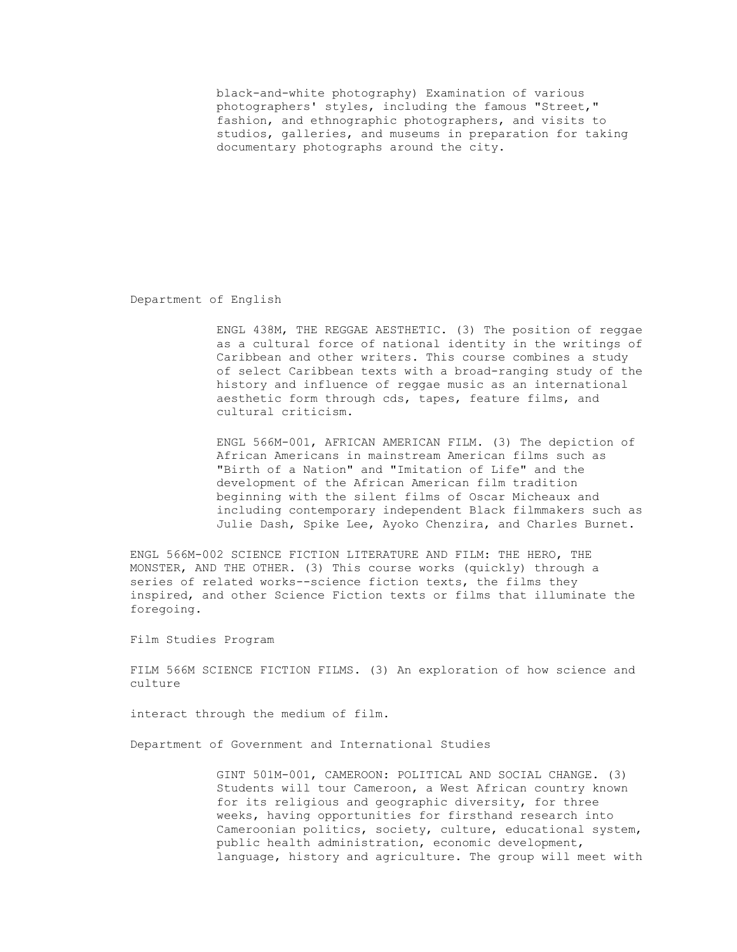black-and-white photography) Examination of various photographers' styles, including the famous "Street," fashion, and ethnographic photographers, and visits to studios, galleries, and museums in preparation for taking documentary photographs around the city.

Department of English

ENGL 438M, THE REGGAE AESTHETIC. (3) The position of reggae as a cultural force of national identity in the writings of Caribbean and other writers. This course combines a study of select Caribbean texts with a broad-ranging study of the history and influence of reggae music as an international aesthetic form through cds, tapes, feature films, and cultural criticism.

ENGL 566M-001, AFRICAN AMERICAN FILM. (3) The depiction of African Americans in mainstream American films such as "Birth of a Nation" and "Imitation of Life" and the development of the African American film tradition beginning with the silent films of Oscar Micheaux and including contemporary independent Black filmmakers such as Julie Dash, Spike Lee, Ayoko Chenzira, and Charles Burnet.

ENGL 566M-002 SCIENCE FICTION LITERATURE AND FILM: THE HERO, THE MONSTER, AND THE OTHER. (3) This course works (quickly) through a series of related works--science fiction texts, the films they inspired, and other Science Fiction texts or films that illuminate the foregoing.

Film Studies Program

FILM 566M SCIENCE FICTION FILMS. (3) An exploration of how science and culture

interact through the medium of film.

Department of Government and International Studies

GINT 501M-001, CAMEROON: POLITICAL AND SOCIAL CHANGE. (3) Students will tour Cameroon, a West African country known for its religious and geographic diversity, for three weeks, having opportunities for firsthand research into Cameroonian politics, society, culture, educational system, public health administration, economic development, language, history and agriculture. The group will meet with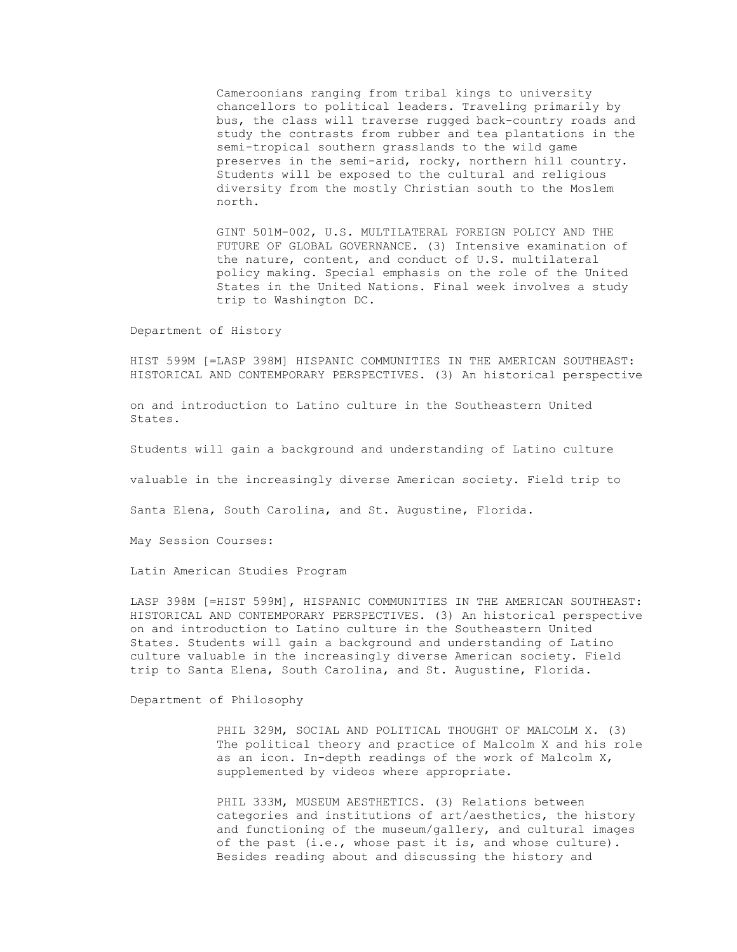Cameroonians ranging from tribal kings to university chancellors to political leaders. Traveling primarily by bus, the class will traverse rugged back-country roads and study the contrasts from rubber and tea plantations in the semi-tropical southern grasslands to the wild game preserves in the semi-arid, rocky, northern hill country. Students will be exposed to the cultural and religious diversity from the mostly Christian south to the Moslem north.

GINT 501M-002, U.S. MULTILATERAL FOREIGN POLICY AND THE FUTURE OF GLOBAL GOVERNANCE. (3) Intensive examination of the nature, content, and conduct of U.S. multilateral policy making. Special emphasis on the role of the United States in the United Nations. Final week involves a study trip to Washington DC.

Department of History

HIST 599M [=LASP 398M] HISPANIC COMMUNITIES IN THE AMERICAN SOUTHEAST: HISTORICAL AND CONTEMPORARY PERSPECTIVES. (3) An historical perspective

on and introduction to Latino culture in the Southeastern United States.

Students will gain a background and understanding of Latino culture

valuable in the increasingly diverse American society. Field trip to

Santa Elena, South Carolina, and St. Augustine, Florida.

May Session Courses:

Latin American Studies Program

LASP 398M [=HIST 599M], HISPANIC COMMUNITIES IN THE AMERICAN SOUTHEAST: HISTORICAL AND CONTEMPORARY PERSPECTIVES. (3) An historical perspective on and introduction to Latino culture in the Southeastern United States. Students will gain a background and understanding of Latino culture valuable in the increasingly diverse American society. Field trip to Santa Elena, South Carolina, and St. Augustine, Florida.

Department of Philosophy

PHIL 329M, SOCIAL AND POLITICAL THOUGHT OF MALCOLM X. (3) The political theory and practice of Malcolm X and his role as an icon. In-depth readings of the work of Malcolm X, supplemented by videos where appropriate.

PHIL 333M, MUSEUM AESTHETICS. (3) Relations between categories and institutions of art/aesthetics, the history and functioning of the museum/gallery, and cultural images of the past (i.e., whose past it is, and whose culture). Besides reading about and discussing the history and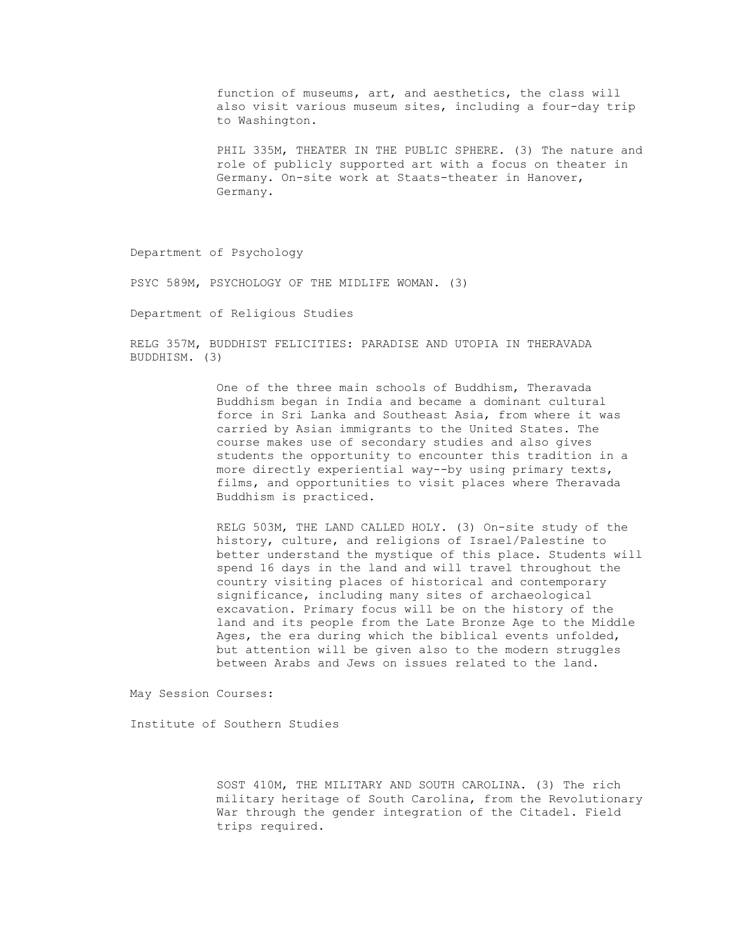function of museums, art, and aesthetics, the class will also visit various museum sites, including a four-day trip to Washington.

PHIL 335M, THEATER IN THE PUBLIC SPHERE. (3) The nature and role of publicly supported art with a focus on theater in Germany. On-site work at Staats-theater in Hanover, Germany.

Department of Psychology

PSYC 589M, PSYCHOLOGY OF THE MIDLIFE WOMAN. (3)

Department of Religious Studies

RELG 357M, BUDDHIST FELICITIES: PARADISE AND UTOPIA IN THERAVADA BUDDHISM. (3)

> One of the three main schools of Buddhism, Theravada Buddhism began in India and became a dominant cultural force in Sri Lanka and Southeast Asia, from where it was carried by Asian immigrants to the United States. The course makes use of secondary studies and also gives students the opportunity to encounter this tradition in a more directly experiential way--by using primary texts, films, and opportunities to visit places where Theravada Buddhism is practiced.

RELG 503M, THE LAND CALLED HOLY. (3) On-site study of the history, culture, and religions of Israel/Palestine to better understand the mystique of this place. Students will spend 16 days in the land and will travel throughout the country visiting places of historical and contemporary significance, including many sites of archaeological excavation. Primary focus will be on the history of the land and its people from the Late Bronze Age to the Middle Ages, the era during which the biblical events unfolded, but attention will be given also to the modern struggles between Arabs and Jews on issues related to the land.

May Session Courses:

Institute of Southern Studies

SOST 410M, THE MILITARY AND SOUTH CAROLINA. (3) The rich military heritage of South Carolina, from the Revolutionary War through the gender integration of the Citadel. Field trips required.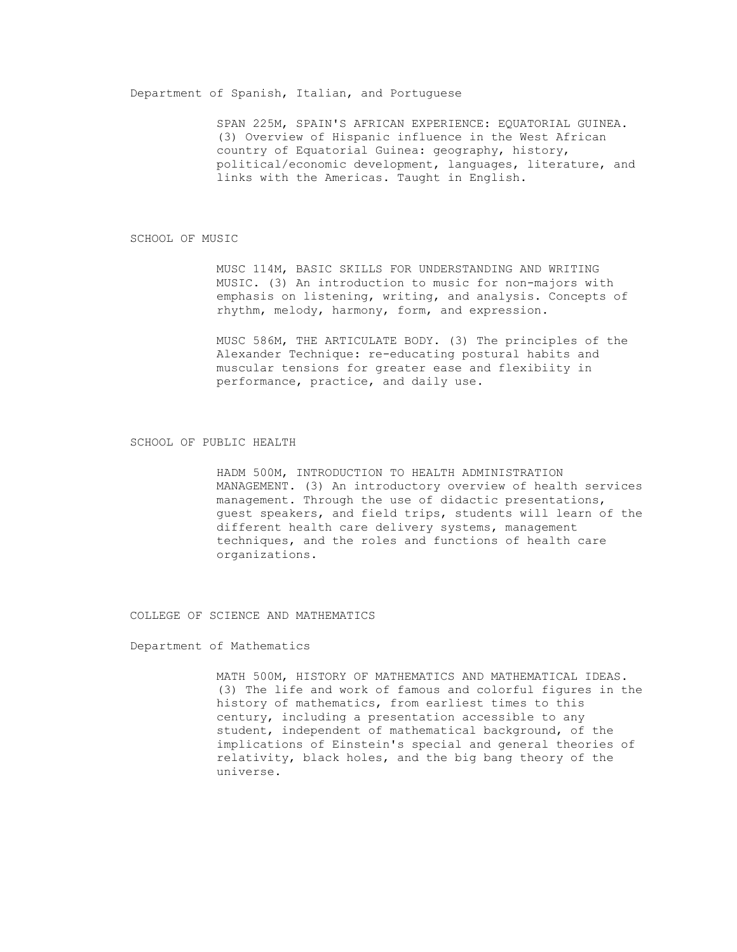#### Department of Spanish, Italian, and Portuguese

SPAN 225M, SPAIN'S AFRICAN EXPERIENCE: EQUATORIAL GUINEA. (3) Overview of Hispanic influence in the West African country of Equatorial Guinea: geography, history, political/economic development, languages, literature, and links with the Americas. Taught in English.

#### SCHOOL OF MUSIC

MUSC 114M, BASIC SKILLS FOR UNDERSTANDING AND WRITING MUSIC. (3) An introduction to music for non-majors with emphasis on listening, writing, and analysis. Concepts of rhythm, melody, harmony, form, and expression.

MUSC 586M, THE ARTICULATE BODY. (3) The principles of the Alexander Technique: re-educating postural habits and muscular tensions for greater ease and flexibiity in performance, practice, and daily use.

#### SCHOOL OF PUBLIC HEALTH

HADM 500M, INTRODUCTION TO HEALTH ADMINISTRATION MANAGEMENT. (3) An introductory overview of health services management. Through the use of didactic presentations, guest speakers, and field trips, students will learn of the different health care delivery systems, management techniques, and the roles and functions of health care organizations.

COLLEGE OF SCIENCE AND MATHEMATICS

Department of Mathematics

MATH 500M, HISTORY OF MATHEMATICS AND MATHEMATICAL IDEAS. (3) The life and work of famous and colorful figures in the history of mathematics, from earliest times to this century, including a presentation accessible to any student, independent of mathematical background, of the implications of Einstein's special and general theories of relativity, black holes, and the big bang theory of the universe.